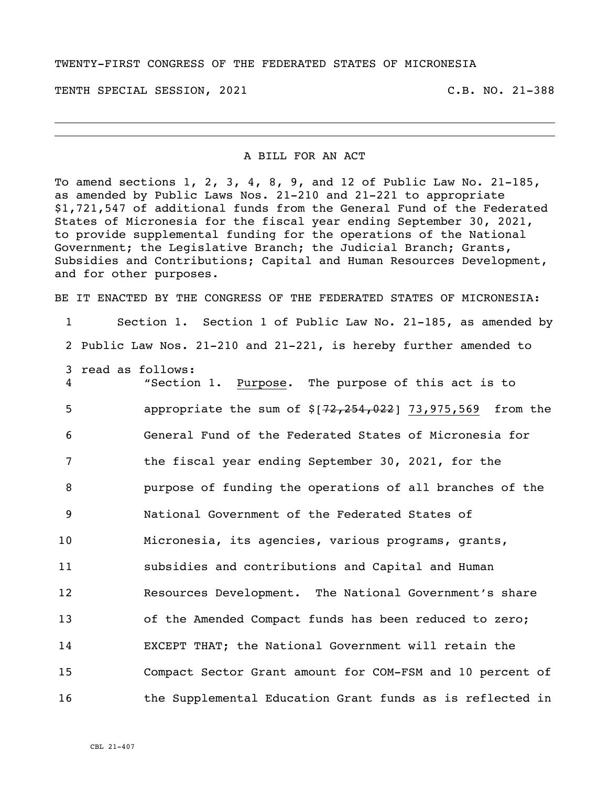## TWENTY-FIRST CONGRESS OF THE FEDERATED STATES OF MICRONESIA

TENTH SPECIAL SESSION, 2021 C.B. NO. 21-388

## A BILL FOR AN ACT

To amend sections 1, 2, 3, 4, 8, 9, and 12 of Public Law No. 21-185, as amended by Public Laws Nos. 21-210 and 21-221 to appropriate \$1,721,547 of additional funds from the General Fund of the Federated States of Micronesia for the fiscal year ending September 30, 2021, to provide supplemental funding for the operations of the National Government; the Legislative Branch; the Judicial Branch; Grants, Subsidies and Contributions; Capital and Human Resources Development, and for other purposes.

BE IT ENACTED BY THE CONGRESS OF THE FEDERATED STATES OF MICRONESIA:

 Section 1. Section 1 of Public Law No. 21-185, as amended by Public Law Nos. 21-210 and 21-221, is hereby further amended to read as follows: "Section 1. Purpose. The purpose of this act is to 5 appropriate the sum of \$[72,254,022] 73,975,569 from the General Fund of the Federated States of Micronesia for the fiscal year ending September 30, 2021, for the purpose of funding the operations of all branches of the National Government of the Federated States of Micronesia, its agencies, various programs, grants, subsidies and contributions and Capital and Human Resources Development. The National Government's share of the Amended Compact funds has been reduced to zero; EXCEPT THAT; the National Government will retain the Compact Sector Grant amount for COM-FSM and 10 percent of the Supplemental Education Grant funds as is reflected in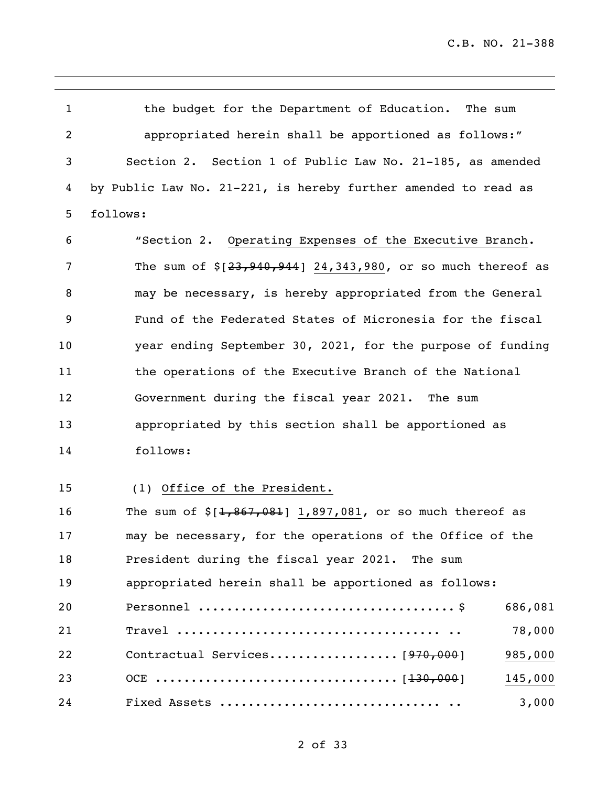1 the budget for the Department of Education. The sum appropriated herein shall be apportioned as follows:" Section 2. Section 1 of Public Law No. 21-185, as amended by Public Law No. 21-221, is hereby further amended to read as follows: "Section 2. Operating Expenses of the Executive Branch. 7 The sum of  $\frac{23,940,944}{24,343,980}$ , or so much thereof as may be necessary, is hereby appropriated from the General Fund of the Federated States of Micronesia for the fiscal year ending September 30, 2021, for the purpose of funding the operations of the Executive Branch of the National Government during the fiscal year 2021. The sum appropriated by this section shall be apportioned as follows:

(1) Office of the President.

16 The sum of  $\frac{1,867,081}{1,897,081}$ , or so much thereof as may be necessary, for the operations of the Office of the President during the fiscal year 2021. The sum appropriated herein shall be apportioned as follows: Personnel .................................... \$ 686,081 Travel ..................................... .. 78,000 Contractual Services.................. [970,000] 985,000 OCE .................................. [130,000] 145,000 Fixed Assets ............................... .. 3,000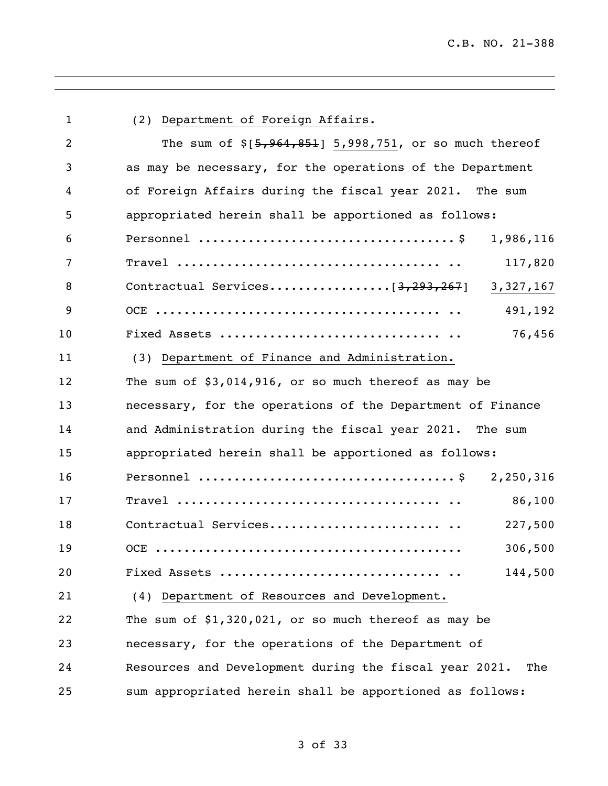| $\mathbf{1}$ | (2) Department of Foreign Affairs.                            |
|--------------|---------------------------------------------------------------|
| 2            | The sum of $$[5,964,851]$ 5,998,751, or so much thereof       |
| 3            | as may be necessary, for the operations of the Department     |
| 4            | of Foreign Affairs during the fiscal year 2021. The sum       |
| 5            | appropriated herein shall be apportioned as follows:          |
| 6            | 1,986,116                                                     |
| 7            | 117,820                                                       |
| 8            |                                                               |
| 9            | 491,192                                                       |
| 10           | 76,456                                                        |
| 11           | (3) Department of Finance and Administration.                 |
| 12           | The sum of $$3,014,916$ , or so much thereof as may be        |
| 13           | necessary, for the operations of the Department of Finance    |
| 14           | and Administration during the fiscal year 2021. The sum       |
| 15           | appropriated herein shall be apportioned as follows:          |
| 16           | 2,250,316                                                     |
| 17           | 86,100                                                        |
| 18           | Contractual Services<br>227,500                               |
| 19           | 306,500                                                       |
| 20           | 144,500<br>Fixed Assets                                       |
| 21           | (4) Department of Resources and Development.                  |
| 22           | The sum of $$1,320,021$ , or so much thereof as may be        |
| 23           | necessary, for the operations of the Department of            |
| 24           | Resources and Development during the fiscal year 2021.<br>The |
| 25           | sum appropriated herein shall be apportioned as follows:      |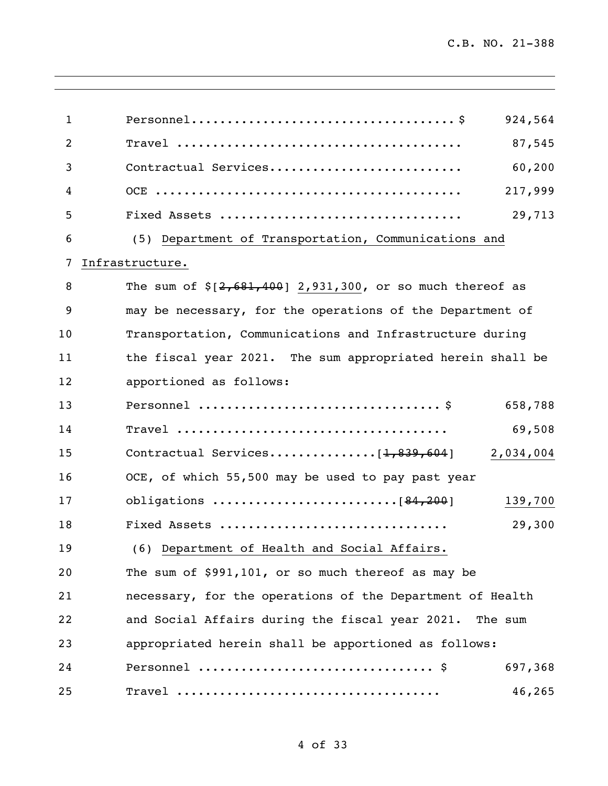| $\mathbf{1}$   | $Personnel \ldots \ldots \ldots \ldots \ldots \ldots \ldots \ldots \ldots \$<br>924,564                 |
|----------------|---------------------------------------------------------------------------------------------------------|
| $\overline{2}$ | 87,545                                                                                                  |
| 3              | 60, 200<br>Contractual Services                                                                         |
| 4              | 217,999                                                                                                 |
| 5              | 29,713                                                                                                  |
| 6              | (5) Department of Transportation, Communications and                                                    |
| 7              | Infrastructure.                                                                                         |
| 8              | The sum of $$[2,681,400]$ 2,931,300, or so much thereof as                                              |
| 9              | may be necessary, for the operations of the Department of                                               |
| 10             | Transportation, Communications and Infrastructure during                                                |
| 11             | the fiscal year 2021. The sum appropriated herein shall be                                              |
| 12             | apportioned as follows:                                                                                 |
| 13             | 658,788                                                                                                 |
| 14             | 69,508                                                                                                  |
| 15             | 2,034,004                                                                                               |
| 16             | OCE, of which 55,500 may be used to pay past year                                                       |
| 17             | obligations $\ldots \ldots \ldots \ldots \ldots \ldots \ldots \ldots \hspace{0.1cm}$ 84,200]<br>139,700 |
| 18             | 29,300<br>Fixed Assets                                                                                  |
| 19             | (6) Department of Health and Social Affairs.                                                            |
| 20             | The sum of \$991,101, or so much thereof as may be                                                      |
| 21             | necessary, for the operations of the Department of Health                                               |
| 22             | and Social Affairs during the fiscal year 2021.<br>The sum                                              |
| 23             | appropriated herein shall be apportioned as follows:                                                    |
| 24             | 697,368                                                                                                 |
| 25             | Travel<br>46,265                                                                                        |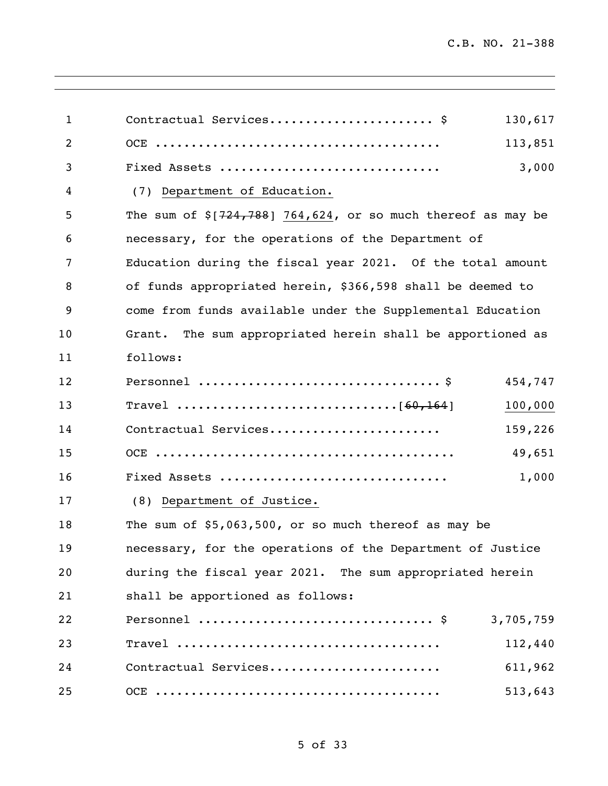| 1  | Contractual Services \$<br>130,617                                             |
|----|--------------------------------------------------------------------------------|
| 2  | 113,851                                                                        |
| 3  | 3,000<br>Fixed Assets                                                          |
| 4  | (7) Department of Education.                                                   |
| 5  | The sum of $$[724, 788]$ 764,624, or so much thereof as may be                 |
| 6  | necessary, for the operations of the Department of                             |
| 7  | Education during the fiscal year 2021. Of the total amount                     |
| 8  | of funds appropriated herein, \$366,598 shall be deemed to                     |
| 9  | come from funds available under the Supplemental Education                     |
| 10 | Grant. The sum appropriated herein shall be apportioned as                     |
| 11 | follows:                                                                       |
| 12 | Personnel $\dots\dots\dots\dots\dots\dots\dots\dots\dots\dots\dots$<br>454,747 |
| 13 | 100,000                                                                        |
| 14 | 159,226<br>Contractual Services                                                |
| 15 | 49,651                                                                         |
| 16 | Fixed Assets<br>1,000                                                          |
| 17 | (8) Department of Justice.                                                     |
| 18 | The sum of $$5,063,500$ , or so much thereof as may be                         |
| 19 | necessary, for the operations of the Department of Justice                     |
| 20 | during the fiscal year 2021. The sum appropriated herein                       |
| 21 | shall be apportioned as follows:                                               |
| 22 | 3,705,759                                                                      |
| 23 | 112,440                                                                        |
| 24 | Contractual Services<br>611,962                                                |
| 25 | 513,643                                                                        |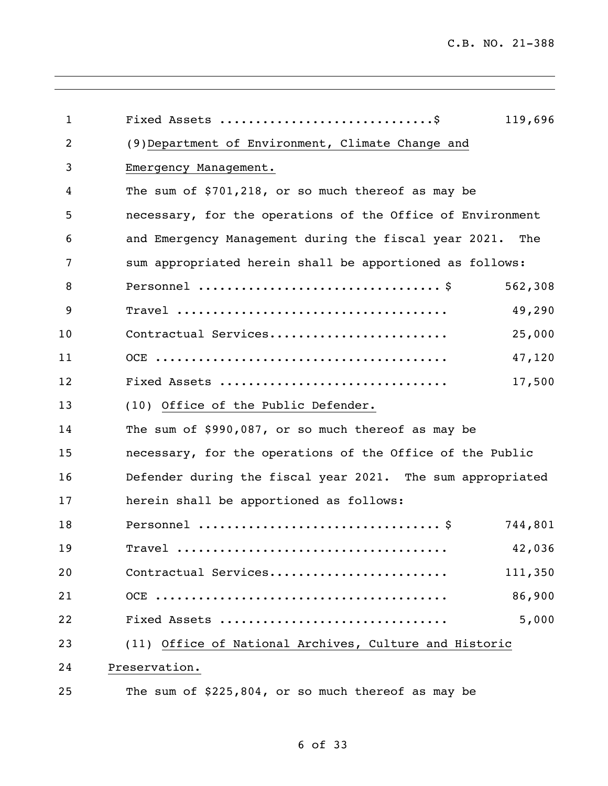| $\mathbf{1}$   |                                                            | 119,696 |
|----------------|------------------------------------------------------------|---------|
| $\overline{2}$ | (9) Department of Environment, Climate Change and          |         |
| 3              | Emergency Management.                                      |         |
| 4              | The sum of \$701,218, or so much thereof as may be         |         |
| 5              | necessary, for the operations of the Office of Environment |         |
| 6              | and Emergency Management during the fiscal year 2021. The  |         |
| 7              | sum appropriated herein shall be apportioned as follows:   |         |
| 8              |                                                            | 562,308 |
| 9              |                                                            | 49,290  |
| 10             | Contractual Services                                       | 25,000  |
| 11             |                                                            | 47,120  |
| 12             | Fixed Assets                                               | 17,500  |
| 13             | (10) Office of the Public Defender.                        |         |
| 14             | The sum of \$990,087, or so much thereof as may be         |         |
| 15             | necessary, for the operations of the Office of the Public  |         |
| 16             | Defender during the fiscal year 2021. The sum appropriated |         |
| 17             | herein shall be apportioned as follows:                    |         |
| 18             |                                                            | 744,801 |
| 19             |                                                            | 42,036  |
| 20             | Contractual Services                                       | 111,350 |
| 21             |                                                            | 86,900  |
| 22             | Fixed Assets                                               | 5,000   |
| 23             | (11) Office of National Archives, Culture and Historic     |         |
| 24             | Preservation.                                              |         |
| 25             | The sum of \$225,804, or so much thereof as may be         |         |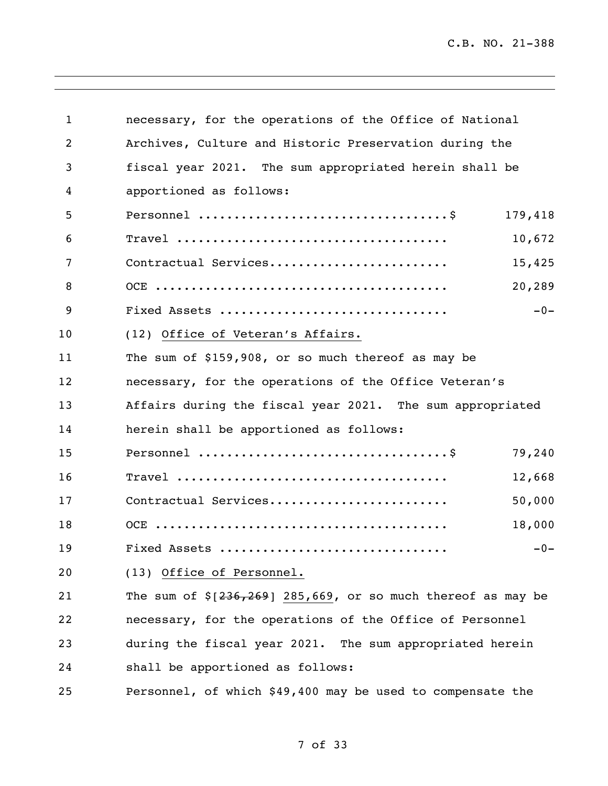| $\mathbf{1}$      | necessary, for the operations of the Office of National                             |       |
|-------------------|-------------------------------------------------------------------------------------|-------|
| 2                 | Archives, Culture and Historic Preservation during the                              |       |
| 3                 | fiscal year 2021. The sum appropriated herein shall be                              |       |
| 4                 | apportioned as follows:                                                             |       |
| 5                 | Personnel $\dots\dots\dots\dots\dots\dots\dots\dots\dots\dots\dots\dots$<br>179,418 |       |
| 6                 | 10,672                                                                              |       |
| 7                 | Contractual Services<br>15,425                                                      |       |
| 8                 | 20,289                                                                              |       |
| 9                 | Fixed Assets                                                                        | $-0-$ |
| 10                | (12) Office of Veteran's Affairs.                                                   |       |
| 11                | The sum of \$159,908, or so much thereof as may be                                  |       |
| $12 \overline{ }$ | necessary, for the operations of the Office Veteran's                               |       |
| 13                | Affairs during the fiscal year 2021. The sum appropriated                           |       |
| 14                | herein shall be apportioned as follows:                                             |       |
| 15                | 79,240                                                                              |       |
| 16                | 12,668                                                                              |       |
| 17                | Contractual Services<br>50,000                                                      |       |
| 18                | 18,000                                                                              |       |
| 19                | Fixed Assets                                                                        | $-0-$ |
| 20                | (13) Office of Personnel.                                                           |       |
| 21                | The sum of $\S$ [236,269] 285,669, or so much thereof as may be                     |       |
| 22                | necessary, for the operations of the Office of Personnel                            |       |
| 23                | during the fiscal year 2021. The sum appropriated herein                            |       |
| 24                | shall be apportioned as follows:                                                    |       |
| 25                | Personnel, of which \$49,400 may be used to compensate the                          |       |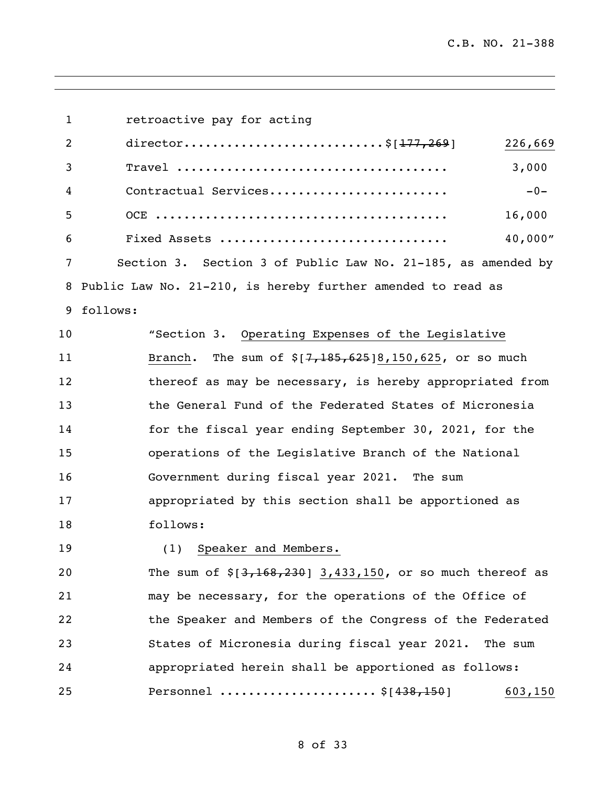C.B. NO. 21-388

| $\mathbf 1$    | retroactive pay for acting                                   |
|----------------|--------------------------------------------------------------|
| $\overline{2}$ | director\$[ <del>177,269</del> ]<br>226,669                  |
| 3              | 3,000                                                        |
| 4              | Contractual Services<br>$-0-$                                |
| 5              | 16,000                                                       |
| 6              | 40,000"<br>Fixed Assets                                      |
| 7              | Section 3. Section 3 of Public Law No. 21-185, as amended by |
| 8              | Public Law No. 21-210, is hereby further amended to read as  |
| 9              | follows:                                                     |
| 10             | "Section 3. Operating Expenses of the Legislative            |
| 11             | Branch. The sum of $$[7,185,625]8,150,625$ , or so much      |
| 12             | thereof as may be necessary, is hereby appropriated from     |
| 13             | the General Fund of the Federated States of Micronesia       |
| 14             | for the fiscal year ending September 30, 2021, for the       |
| 15             | operations of the Legislative Branch of the National         |
| 16             | Government during fiscal year 2021. The sum                  |
| 17             | appropriated by this section shall be apportioned as         |
| 18             | follows:                                                     |
| 19             | (1) Speaker and Members.                                     |
| 20             | The sum of $$[3,168,230]$ 3,433,150, or so much thereof as   |
| 21             | may be necessary, for the operations of the Office of        |
| 22             | the Speaker and Members of the Congress of the Federated     |
| 23             | States of Micronesia during fiscal year 2021.<br>The sum     |
| 24             | appropriated herein shall be apportioned as follows:         |
| 25             | Personnel \$ [438,150]<br>603,150                            |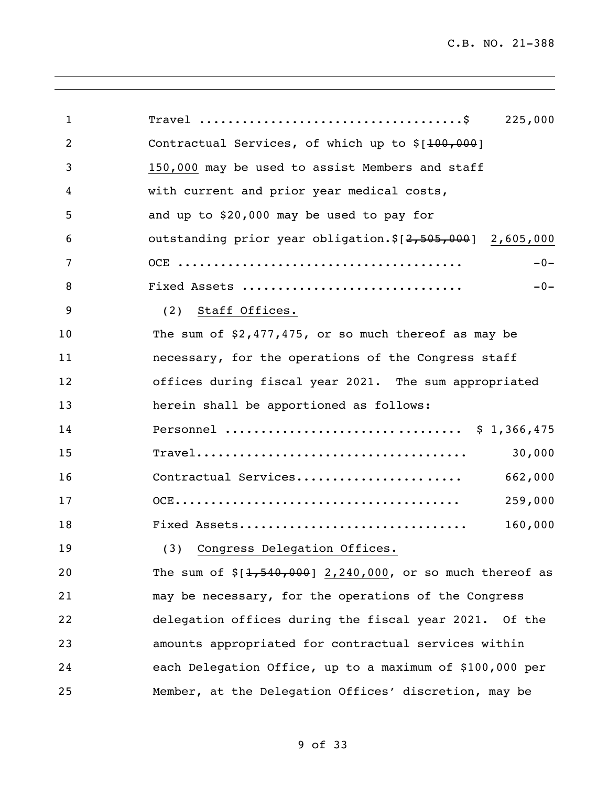| $\mathbf{1}$   | $\texttt{Travel}\ \dots\dots\dots\dots\dots\dots\dots\dots\dots\dots\dots\$<br>225,000 |
|----------------|----------------------------------------------------------------------------------------|
| $\overline{2}$ | Contractual Services, of which up to \$[100,000]                                       |
| 3              | 150,000 may be used to assist Members and staff                                        |
| 4              | with current and prior year medical costs,                                             |
| 5              | and up to \$20,000 may be used to pay for                                              |
| 6              | outstanding prior year obligation. $\S[2, 505, 000]$ 2,605,000                         |
| 7              | $-0-$                                                                                  |
| 8              | Fixed Assets<br>$-0-$                                                                  |
| 9              | (2) Staff Offices.                                                                     |
| 10             | The sum of $$2,477,475$ , or so much thereof as may be                                 |
| 11             | necessary, for the operations of the Congress staff                                    |
| 12             | offices during fiscal year 2021. The sum appropriated                                  |
| 13             | herein shall be apportioned as follows:                                                |
| 14             | Personnel  \$ 1,366,475                                                                |
| 15             | 30,000                                                                                 |
| 16             | Contractual Services<br>662,000                                                        |
| 17             | 259,000                                                                                |
| 18             | Fixed Assets<br>160,000                                                                |
| 19             | (3) Congress Delegation Offices.                                                       |
| 20             | The sum of $$[1,540,000]$ 2,240,000, or so much thereof as                             |
| 21             | may be necessary, for the operations of the Congress                                   |
| 22             | delegation offices during the fiscal year 2021. Of the                                 |
| 23             | amounts appropriated for contractual services within                                   |
| 24             | each Delegation Office, up to a maximum of \$100,000 per                               |
| 25             | Member, at the Delegation Offices' discretion, may be                                  |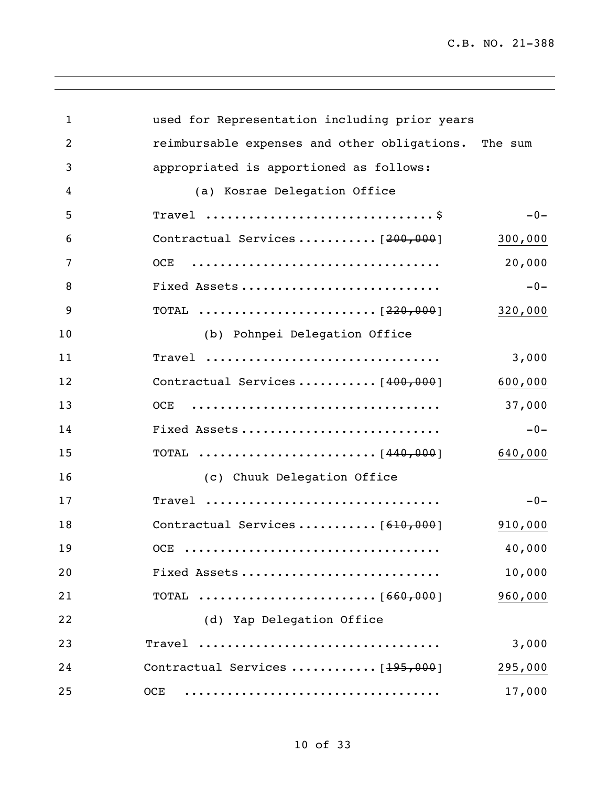| $\mathbf{1}$ | used for Representation including prior years        |
|--------------|------------------------------------------------------|
| 2            | reimbursable expenses and other obligations. The sum |
| 3            | appropriated is apportioned as follows:              |
| 4            | (a) Kosrae Delegation Office                         |
| 5            | $-0-$                                                |
| 6            | 300,000<br>Contractual Services $[200,000]$          |
| 7            | 20,000                                               |
| 8            | Fixed Assets<br>$-0-$                                |
| 9            | 320,000                                              |
| 10           | (b) Pohnpei Delegation Office                        |
| 11           | Travel<br>3,000                                      |
| 12           | 600,000<br>Contractual Services $[400,000]$          |
| 13           | 37,000<br>OCE                                        |
| 14           | Fixed Assets<br>$-0-$                                |
| 15           | 640,000                                              |
| 16           | (c) Chuuk Delegation Office                          |
| 17           | Travel<br>$-0-$                                      |
| 18           | Contractual Services $[610,000]$<br>910,000          |
| 19           | 40,000                                               |
| 20           | Fixed Assets<br>10,000                               |
| 21           | 960,000                                              |
| 22           | (d) Yap Delegation Office                            |
| 23           | 3,000<br>Travel<br>. <b>.</b> .                      |
| 24           | Contractual Services $[195,000]$<br>295,000          |
| 25           | 17,000<br>OCE                                        |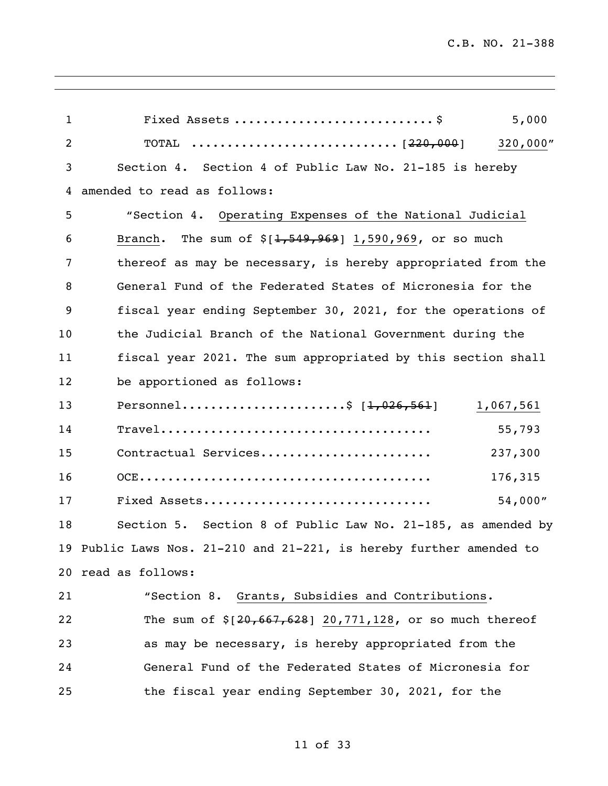| $\mathbf 1$    | 5,000                                                                                               |  |
|----------------|-----------------------------------------------------------------------------------------------------|--|
| $\overline{2}$ | TOTAL $\ldots \ldots \ldots \ldots \ldots \ldots \ldots \ldots \ldots \ldots$ [220,000]<br>320,000" |  |
| 3              | Section 4. Section 4 of Public Law No. 21-185 is hereby                                             |  |
| 4              | amended to read as follows:                                                                         |  |
| 5              | "Section 4. Operating Expenses of the National Judicial                                             |  |
| 6              | Branch. The sum of $$[1,549,969]$ 1,590,969, or so much                                             |  |
| 7              | thereof as may be necessary, is hereby appropriated from the                                        |  |
| 8              | General Fund of the Federated States of Micronesia for the                                          |  |
| 9              | fiscal year ending September 30, 2021, for the operations of                                        |  |
| 10             | the Judicial Branch of the National Government during the                                           |  |
| 11             | fiscal year 2021. The sum appropriated by this section shall                                        |  |
| 12             | be apportioned as follows:                                                                          |  |
| 13             | Personnel\$ $[1, 026, 561]$<br>1,067,561                                                            |  |
| 14             | 55,793                                                                                              |  |
| 15             | Contractual Services<br>237,300                                                                     |  |
| 16             | 176,315                                                                                             |  |
| 17             | Fixed Assets<br>54,000"                                                                             |  |
| 18             | Section 5. Section 8 of Public Law No. 21-185, as amended by                                        |  |
|                | 19 Public Laws Nos. 21-210 and 21-221, is hereby further amended to                                 |  |
|                | 20 read as follows:                                                                                 |  |
| 21             | "Section 8. Grants, Subsidies and Contributions.                                                    |  |
| 22             | The sum of $$[20,667,628]$ 20,771,128, or so much thereof                                           |  |
| 23             | as may be necessary, is hereby appropriated from the                                                |  |
| 24             | General Fund of the Federated States of Micronesia for                                              |  |
| 25             | the fiscal year ending September 30, 2021, for the                                                  |  |

## of 33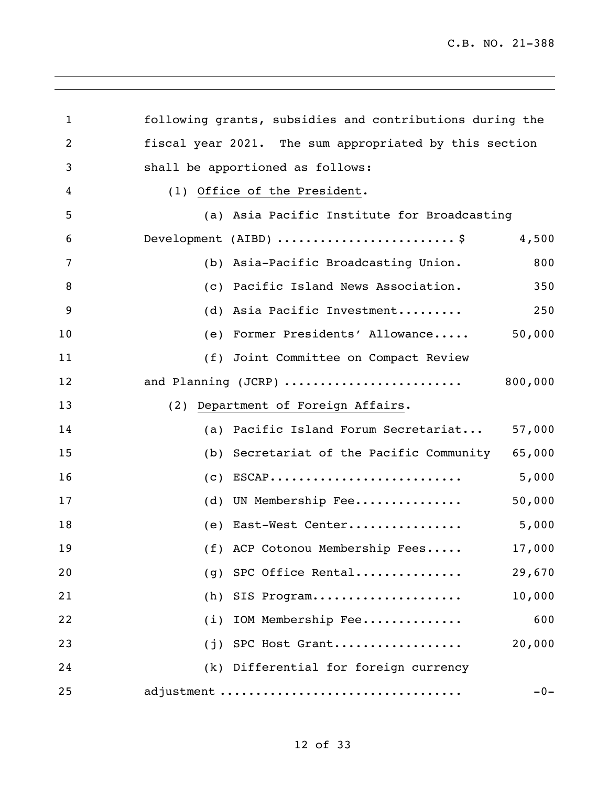| $\mathbf 1$ | following grants, subsidies and contributions during the          |
|-------------|-------------------------------------------------------------------|
| 2           | fiscal year 2021. The sum appropriated by this section            |
| 3           | shall be apportioned as follows:                                  |
| 4           | (1) Office of the President.                                      |
| 5           | (a) Asia Pacific Institute for Broadcasting                       |
| 6           | Development (AIBD) $\dots\dots\dots\dots\dots\dots\dots$<br>4,500 |
| 7           | (b) Asia-Pacific Broadcasting Union.<br>800                       |
| 8           | (c) Pacific Island News Association.<br>350                       |
| 9           | (d) Asia Pacific Investment<br>250                                |
| 10          | (e) Former Presidents' Allowance<br>50,000                        |
| 11          | (f) Joint Committee on Compact Review                             |
| 12          | and Planning (JCRP)<br>800,000                                    |
| 13          | (2) Department of Foreign Affairs.                                |
| 14          | (a) Pacific Island Forum Secretariat<br>57,000                    |
| 15          | (b) Secretariat of the Pacific Community<br>65,000                |
| 16          | $(c)$ ESCAP<br>5,000                                              |
| 17          | 50,000<br>(d) UN Membership Fee                                   |
| 18          | 5,000<br>(e) East-West Center                                     |
| 19          | (f) ACP Cotonou Membership Fees<br>17,000                         |
| 20          | SPC Office Rental<br>29,670<br>(q)                                |
| 21          | 10,000<br>(h)<br>SIS Program                                      |
| 22          | IOM Membership Fee<br>600<br>(i)                                  |
| 23          | 20,000<br>SPC Host Grant<br>(j)                                   |
| 24          | (k) Differential for foreign currency                             |
| 25          | adjustment<br>$-0-$                                               |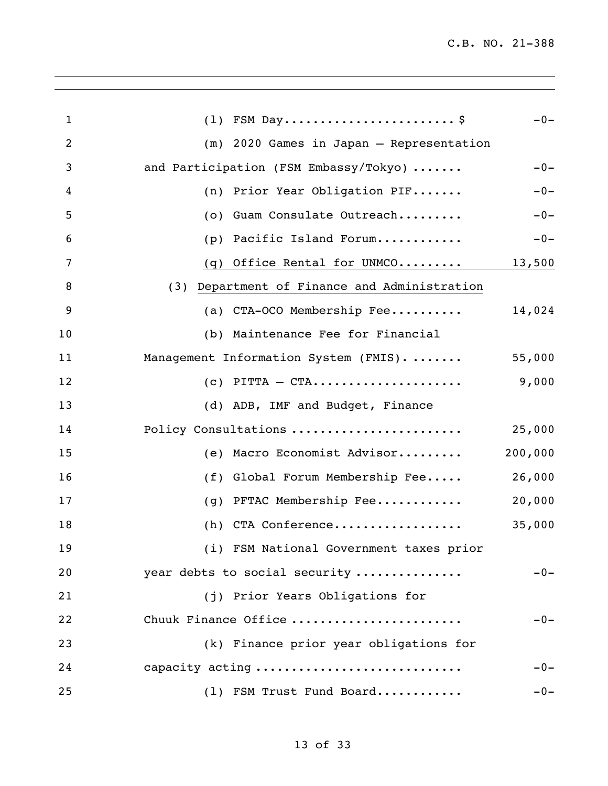| $\mathbf{1}$ | $(1)$ FSM Day\$                                 | $-0-$   |
|--------------|-------------------------------------------------|---------|
| 2            | (m) 2020 Games in Japan - Representation        |         |
| 3            | and Participation (FSM Embassy/Tokyo)           | $-0-$   |
| 4            | (n) Prior Year Obligation PIF                   | $-0-$   |
| 5            | Guam Consulate Outreach<br>(0)                  | $-0-$   |
| 6            | Pacific Island Forum<br>(p)                     | $-0-$   |
| 7            | (q) Office Rental for UNMCO                     | 13,500  |
| 8            | Department of Finance and Administration<br>(3) |         |
| 9            | (a) CTA-OCO Membership Fee                      | 14,024  |
| 10           | (b) Maintenance Fee for Financial               |         |
| 11           | Management Information System (FMIS).           | 55,000  |
| 12           | $(c)$ PITTA - CTA                               | 9,000   |
| 13           | (d) ADB, IMF and Budget, Finance                |         |
| 14           | Policy Consultations                            | 25,000  |
| 15           | (e) Macro Economist Advisor                     | 200,000 |
| 16           | (f) Global Forum Membership Fee                 | 26,000  |
| 17           | (g) PFTAC Membership Fee                        | 20,000  |
| 18           | (h) CTA Conference                              | 35,000  |
| 19           | (i) FSM National Government taxes prior         |         |
| 20           | year debts to social security                   | $-0-$   |
| 21           | (j) Prior Years Obligations for                 |         |
| 22           | Chuuk Finance Office                            | $-0-$   |
| 23           | (k) Finance prior year obligations for          |         |
| 24           | capacity acting                                 | $-0-$   |
| 25           | (1) FSM Trust Fund Board                        | $-0-$   |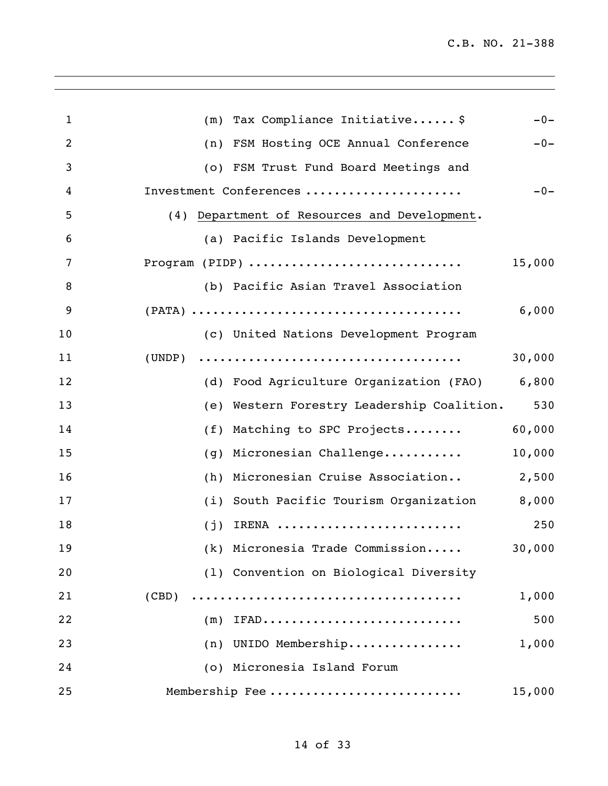| $\mathbf{1}$   | $(m)$ Tax Compliance Initiative \$<br>$-0-$       |
|----------------|---------------------------------------------------|
| $\overline{2}$ | (n) FSM Hosting OCE Annual Conference<br>$-0-$    |
| 3              | (o) FSM Trust Fund Board Meetings and             |
| 4              | Investment Conferences<br>$-0-$                   |
| 5              | (4) Department of Resources and Development.      |
| 6              | (a) Pacific Islands Development                   |
| 7              | Program (PIDP)<br>15,000                          |
| 8              | (b) Pacific Asian Travel Association              |
| 9              | 6,000                                             |
| 10             | (c) United Nations Development Program            |
| 11             | 30,000                                            |
| 12             | (d) Food Agriculture Organization (FAO) 6,800     |
| 13             | 530<br>(e) Western Forestry Leadership Coalition. |
| 14             | 60,000<br>Matching to SPC Projects<br>(f)         |
| 15             | Micronesian Challenge<br>10,000<br>(g)            |
| 16             | Micronesian Cruise Association<br>2,500<br>(h)    |
| 17             | (i) South Pacific Tourism Organization<br>8,000   |
| 18             | $(j)$ IRENA<br>250                                |
| 19             | (k) Micronesia Trade Commission<br>30,000         |
| 20             | (1) Convention on Biological Diversity            |
| 21             | (CBD)<br>1,000                                    |
| 22             | 500<br>$(m)$ IFAD                                 |
| 23             | (n) UNIDO Membership<br>1,000                     |
| 24             | (o) Micronesia Island Forum                       |
| 25             | Membership Fee<br>15,000                          |

,我们也不会有什么。""我们的人,我们也不会有什么?""我们的人,我们也不会有什么?""我们的人,我们也不会有什么?""我们的人,我们也不会有什么?""我们的人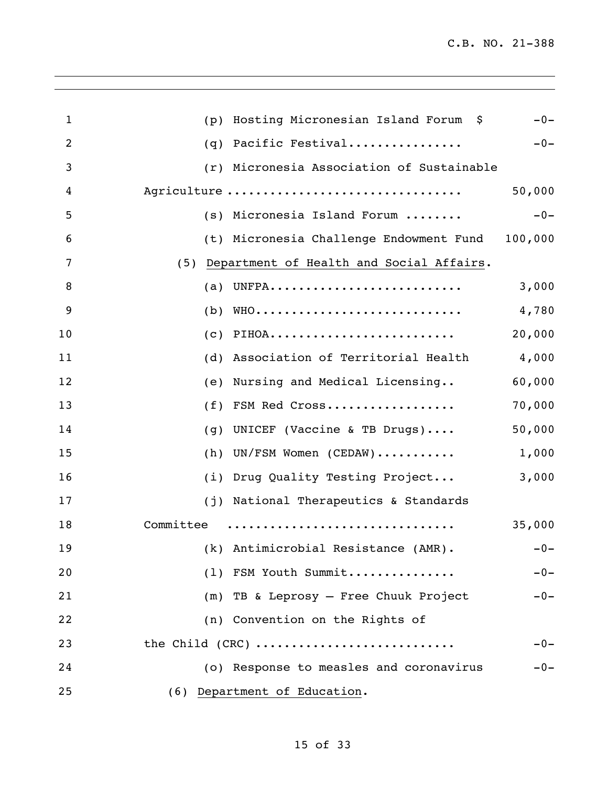| $\mathbf{1}$ | Hosting Micronesian Island Forum \$<br>$-0-$<br>(p) |  |
|--------------|-----------------------------------------------------|--|
| 2            | Pacific Festival<br>$-0-$<br>(q)                    |  |
| 3            | (r) Micronesia Association of Sustainable           |  |
| 4            | Agriculture<br>50,000                               |  |
| 5            | (s) Micronesia Island Forum<br>$-0-$                |  |
| 6            | 100,000<br>(t) Micronesia Challenge Endowment Fund  |  |
| 7            | (5) Department of Health and Social Affairs.        |  |
| 8            | $(a)$ UNFPA<br>3,000                                |  |
| 9            | 4,780<br>$(b)$ WHO                                  |  |
| 10           | $(c)$ PIHOA<br>20,000                               |  |
| 11           | (d) Association of Territorial Health<br>4,000      |  |
| 12           | (e) Nursing and Medical Licensing<br>60,000         |  |
| 13           | 70,000<br>FSM Red Cross<br>(f)                      |  |
| 14           | 50,000<br>(g) UNICEF (Vaccine & TB Drugs)           |  |
| 15           | (h) UN/FSM Women (CEDAW)<br>1,000                   |  |
| 16           | 3,000<br>(i) Drug Quality Testing Project           |  |
| 17           | (j) National Therapeutics & Standards               |  |
| 18           | Committee<br>35,000                                 |  |
| 19           | (k) Antimicrobial Resistance (AMR).<br>$-0-$        |  |
| 20           | (1) FSM Youth Summit<br>$-0-$                       |  |
| 21           | (m) TB & Leprosy - Free Chuuk Project<br>$-0-$      |  |
| 22           | (n) Convention on the Rights of                     |  |
| 23           | $-0-$                                               |  |
| 24           | (o) Response to measles and coronavirus<br>$-0-$    |  |
| 25           | (6) Department of Education.                        |  |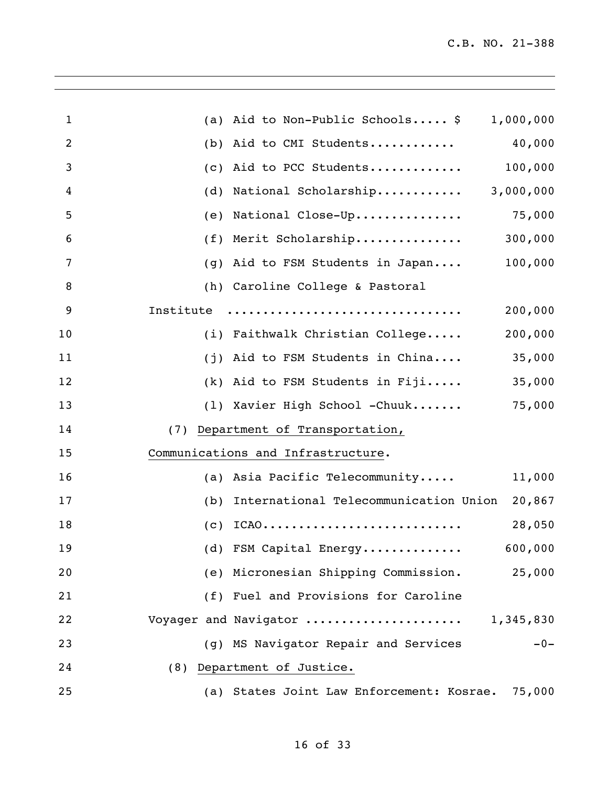| $\mathbf{1}$   | (a) Aid to Non-Public Schools \$<br>1,000,000          |
|----------------|--------------------------------------------------------|
| $\overline{2}$ | (b) Aid to CMI Students<br>40,000                      |
| 3              | Aid to PCC Students<br>100,000<br>(c)                  |
| 4              | 3,000,000<br>National Scholarship<br>(d)               |
| 5              | National Close-Up<br>75,000<br>(e)                     |
| 6              | 300,000<br>Merit Scholarship<br>(f)                    |
| 7              | Aid to FSM Students in Japan<br>100,000<br>(g)         |
| 8              | (h) Caroline College & Pastoral                        |
| 9              | Institute<br>200,000                                   |
| 10             | (i) Faithwalk Christian College<br>200,000             |
| 11             | (j) Aid to FSM Students in China<br>35,000             |
| 12             | (k) Aid to FSM Students in Fiji<br>35,000              |
| 13             | (1) Xavier High School -Chuuk<br>75,000                |
| 14             | Department of Transportation,<br>(7)                   |
| 15             | Communications and Infrastructure.                     |
| 16             | (a) Asia Pacific Telecommunity<br>11,000               |
| 17             | International Telecommunication Union<br>20,867<br>(b) |
| 18             | $(C)$ ICAO<br>28,050                                   |
| 19             | (d) FSM Capital Energy<br>600,000                      |
| 20             | (e) Micronesian Shipping Commission.<br>25,000         |
| 21             | (f) Fuel and Provisions for Caroline                   |
| 22             | Voyager and Navigator $1,345,830$                      |
| 23             | (g) MS Navigator Repair and Services<br>$-0-$          |
| 24             | (8) Department of Justice.                             |
| 25             | (a) States Joint Law Enforcement: Kosrae. 75,000       |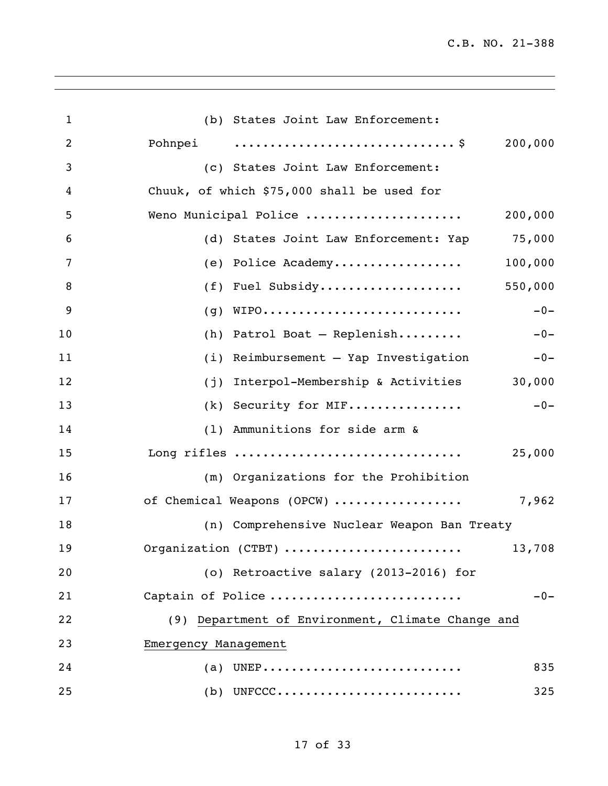C.B. NO. 21-388

| 1              | (b) States Joint Law Enforcement:                 |
|----------------|---------------------------------------------------|
| $\overline{2}$ | 200,000                                           |
| 3              | (c) States Joint Law Enforcement:                 |
| 4              | Chuuk, of which \$75,000 shall be used for        |
| 5              | Weno Municipal Police<br>200,000                  |
| 6              | (d) States Joint Law Enforcement: Yap 75,000      |
| 7              | (e) Police Academy<br>100,000                     |
| 8              | (f) Fuel Subsidy<br>550,000                       |
| 9              | $-0-$                                             |
| 10             | (h) Patrol Boat $-$ Replenish<br>$-0-$            |
| 11             | (i) Reimbursement - Yap Investigation<br>$-0-$    |
| 12             | 30,000<br>(j) Interpol-Membership & Activities    |
| 13             | (k) Security for MIF<br>$-0-$                     |
| 14             | (1) Ammunitions for side arm &                    |
| 15             | Long rifles<br>25,000                             |
| 16             | (m) Organizations for the Prohibition             |
| 17             | of Chemical Weapons (OPCW)<br>7,962               |
| 18             | (n) Comprehensive Nuclear Weapon Ban Treaty       |
| 19             | Organization (CTBT)<br>13,708                     |
| 20             | (o) Retroactive salary (2013-2016) for            |
| 21             | Captain of Police<br>$-0-$                        |
| 22             | (9) Department of Environment, Climate Change and |
| 23             | Emergency Management                              |
| 24             | $(a)$ UNEP<br>835                                 |
| 25             | $(b)$ UNFCCC<br>325                               |

of 33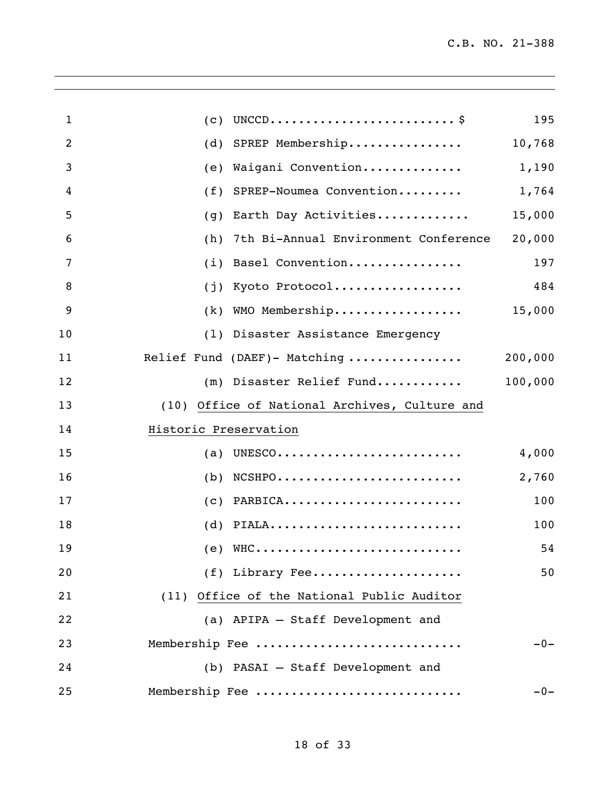| $\mathbf{1}$   | (c)                                                              | 195     |
|----------------|------------------------------------------------------------------|---------|
| $\overline{2}$ | SPREP Membership<br>(d)                                          | 10,768  |
| 3              | Waigani Convention<br>(e)                                        | 1,190   |
| 4              | SPREP-Noumea Convention<br>(f)                                   | 1,764   |
| 5              | Earth Day Activities<br>(g)                                      | 15,000  |
| 6              | 7th Bi-Annual Environment Conference<br>(h)                      | 20,000  |
| 7              | Basel Convention<br>(i)                                          | 197     |
| 8              | Kyoto Protocol<br>(j)                                            | 484     |
| 9              | WMO Membership<br>(k)                                            | 15,000  |
| 10             | (1) Disaster Assistance Emergency                                |         |
| 11             | Relief Fund (DAEF)- Matching                                     | 200,000 |
| 12             | (m) Disaster Relief Fund                                         | 100,000 |
| 13             | Office of National Archives, Culture and<br>(10)                 |         |
| 14             | Historic Preservation                                            |         |
| 15             | UNESCO<br>(a)                                                    | 4,000   |
| 16             | $NCSHP0 \ldots \ldots \ldots \ldots \ldots \ldots \ldots$<br>(b) | 2,760   |
| 17             | PARBICA<br>(c)                                                   | 100     |
| 18             | $(d)$ PIALA                                                      | 100     |
| 19             |                                                                  | 54      |
| 20             | $(f)$ Library Fee                                                | 50      |
| 21             | (11) Office of the National Public Auditor                       |         |
| 22             | (a) APIPA - Staff Development and                                |         |
| 23             | Membership Fee                                                   | $-0-$   |
| 24             | (b) PASAI - Staff Development and                                |         |
| 25             | Membership Fee                                                   | $-0-$   |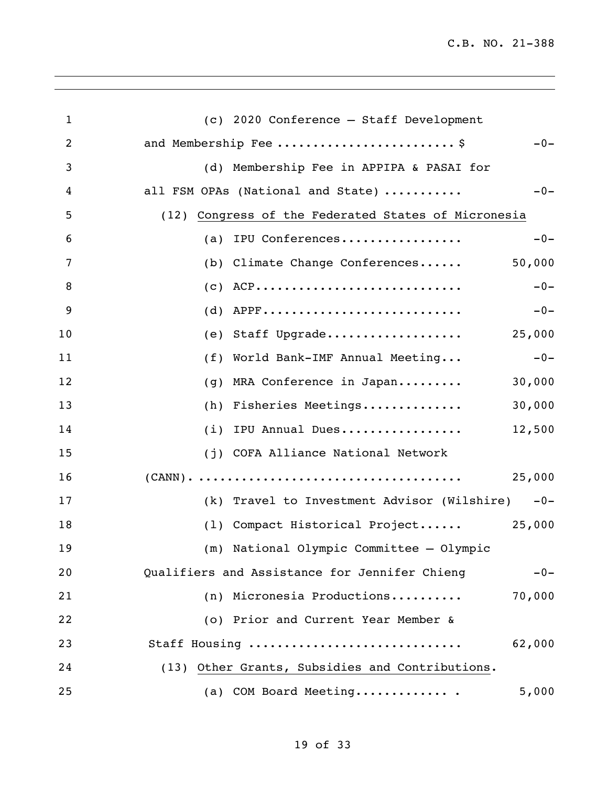| 1              | (c) 2020 Conference - Staff Development                |
|----------------|--------------------------------------------------------|
| $\overline{2}$ | and Membership Fee \$<br>$-0-$                         |
| 3              | (d) Membership Fee in APPIPA & PASAI for               |
| 4              | $-0-$<br>all FSM OPAs (National and State)             |
| 5              | (12) Congress of the Federated States of Micronesia    |
| 6              | (a) IPU Conferences<br>$-0-$                           |
| 7              | 50,000<br>(b) Climate Change Conferences               |
| 8              | $(c)$ ACP<br>$-0-$                                     |
| 9              | $(d)$ APPF<br>$-0-$                                    |
| 10             | (e) Staff Upgrade<br>25,000                            |
| 11             | $-0-$<br>(f) World Bank-IMF Annual Meeting             |
| 12             | 30,000<br>(g) MRA Conference in Japan                  |
| 13             | (h) Fisheries Meetings<br>30,000                       |
| 14             | (i) IPU Annual Dues<br>12,500                          |
| 15             | (j) COFA Alliance National Network                     |
| 16             | 25,000                                                 |
| 17             | (k) Travel to Investment Advisor (Wilshire) -0-        |
| 18             | (1) Compact Historical Project<br>25,000               |
| 19             | (m) National Olympic Committee - Olympic               |
| 20             | Qualifiers and Assistance for Jennifer Chieng<br>$-0-$ |
| 21             | (n) Micronesia Productions<br>70,000                   |
| 22             | (o) Prior and Current Year Member &                    |
| 23             | Staff Housing<br>62,000                                |
| 24             | (13) Other Grants, Subsidies and Contributions.        |
| 25             | (a) COM Board Meeting<br>5,000                         |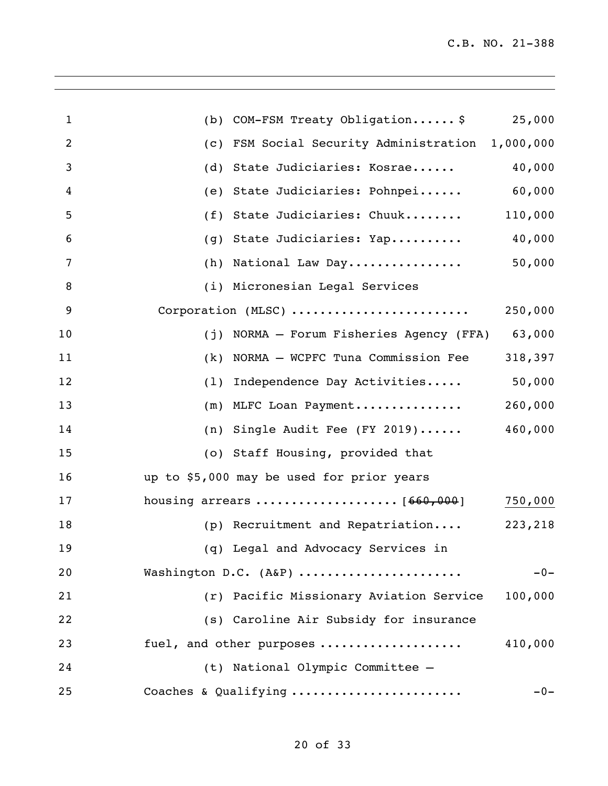| 1              | (b) COM-FSM Treaty Obligation \$<br>25,000         |
|----------------|----------------------------------------------------|
| $\overline{2}$ | (c) FSM Social Security Administration 1,000,000   |
| 3              | (d) State Judiciaries: Kosrae<br>40,000            |
| 4              | (e) State Judiciaries: Pohnpei<br>60,000           |
| 5              | (f) State Judiciaries: Chuuk<br>110,000            |
| 6              | (g) State Judiciaries: Yap<br>40,000               |
| 7              | 50,000<br>(h) National Law Day                     |
| 8              | (i) Micronesian Legal Services                     |
| 9              | Corporation (MLSC)<br>250,000                      |
| 10             | (j) NORMA - Forum Fisheries Agency (FFA)<br>63,000 |
| 11             | $(k)$ NORMA - WCPFC Tuna Commission Fee<br>318,397 |
| 12             | 50,000<br>(1) Independence Day Activities          |
| 13             | 260,000<br>(m) MLFC Loan Payment                   |
| 14             | 460,000<br>(n) Single Audit Fee (FY 2019)          |
| 15             | (o) Staff Housing, provided that                   |
| 16             | up to \$5,000 may be used for prior years          |
| 17             | housing arrears  [660,000]<br>750,000              |
| 18             | (p) Recruitment and Repatriation<br>223,218        |
| 19             | (q) Legal and Advocacy Services in                 |
| 20             | Washington D.C. (A&P)<br>$-0-$                     |
| 21             | (r) Pacific Missionary Aviation Service<br>100,000 |
| 22             | (s) Caroline Air Subsidy for insurance             |
| 23             | fuel, and other purposes<br>410,000                |
| 24             | (t) National Olympic Committee -                   |
| 25             | Coaches & Qualifying<br>$-0-$                      |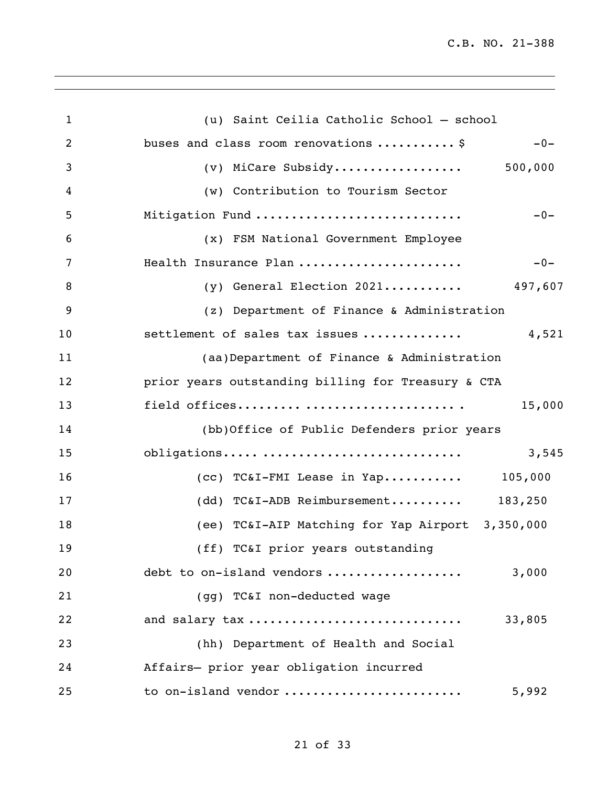| $\mathbf{1}$ | (u) Saint Ceilia Catholic School - school          |
|--------------|----------------------------------------------------|
| 2            | buses and class room renovations  \$<br>$-0-$      |
| 3            | (v) MiCare Subsidy<br>500,000                      |
| 4            | (w) Contribution to Tourism Sector                 |
| 5            | Mitigation Fund<br>$-0-$                           |
| 6            | (x) FSM National Government Employee               |
| 7            | $-0-$<br>Health Insurance Plan                     |
| 8            | (y) General Election 2021 497,607                  |
| 9            | (z) Department of Finance & Administration         |
| 10           | 4,521<br>settlement of sales tax issues            |
| 11           | (aa) Department of Finance & Administration        |
| 12           | prior years outstanding billing for Treasury & CTA |
| 13           | 15,000<br>field offices                            |
| 14           | (bb)Office of Public Defenders prior years         |
| 15           | obligations<br>3,545                               |
| 16           | $(cc)$ TC&I-FMI Lease in Yap 105,000               |
| 17           | (dd) TC&I-ADB Reimbursement $183,250$              |
| 18           | (ee) TC&I-AIP Matching for Yap Airport 3,350,000   |
| 19           | (ff) TC&I prior years outstanding                  |
| 20           | debt to on-island vendors<br>3,000                 |
| 21           | (gg) TC&I non-deducted wage                        |
| 22           | and salary tax<br>33,805                           |
| 23           | (hh) Department of Health and Social               |
| 24           | Affairs- prior year obligation incurred            |
| 25           | to on-island vendor<br>5,992                       |

of 33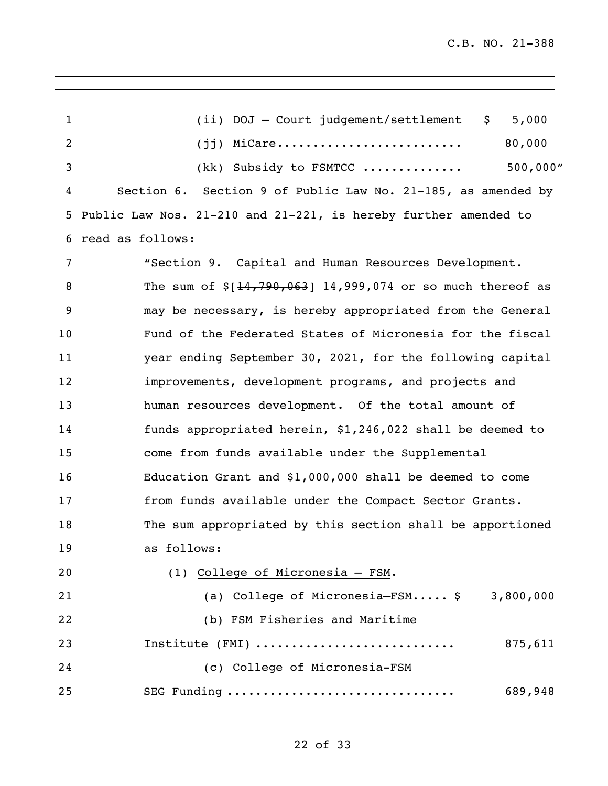| $\mathbf{1}$   | (ii) DOJ - Court judgement/settlement \$<br>5,000               |
|----------------|-----------------------------------------------------------------|
| $\overline{2}$ | 80,000<br>$(jj)$ MiCare                                         |
| 3              | 500,000"<br>$(kk)$ Subsidy to FSMTCC                            |
| 4              | Section 6. Section 9 of Public Law No. 21-185, as amended by    |
| 5.             | Public Law Nos. 21-210 and 21-221, is hereby further amended to |
| 6              | read as follows:                                                |
| 7              | "Section 9. Capital and Human Resources Development.            |
| 8              | The sum of $$[14, 790, 063]$ 14,999,074 or so much thereof as   |
| 9              | may be necessary, is hereby appropriated from the General       |
| 10             | Fund of the Federated States of Micronesia for the fiscal       |
| 11             | year ending September 30, 2021, for the following capital       |
| 12             | improvements, development programs, and projects and            |
| 13             | human resources development. Of the total amount of             |
| 14             | funds appropriated herein, \$1,246,022 shall be deemed to       |
| 15             | come from funds available under the Supplemental                |
| 16             | Education Grant and $$1,000,000$ shall be deemed to come        |
| 17             | from funds available under the Compact Sector Grants.           |
| 18             | The sum appropriated by this section shall be apportioned       |
| 19             | as follows:                                                     |
| 20             | (1) College of Micronesia - FSM.                                |
| 21             | (a) College of Micronesia-FSM \$<br>3,800,000                   |
| 22             | (b) FSM Fisheries and Maritime                                  |
| 23             | Institute (FMI)<br>875,611                                      |
| 24             | (c) College of Micronesia-FSM                                   |
| 25             | SEG Funding<br>689,948                                          |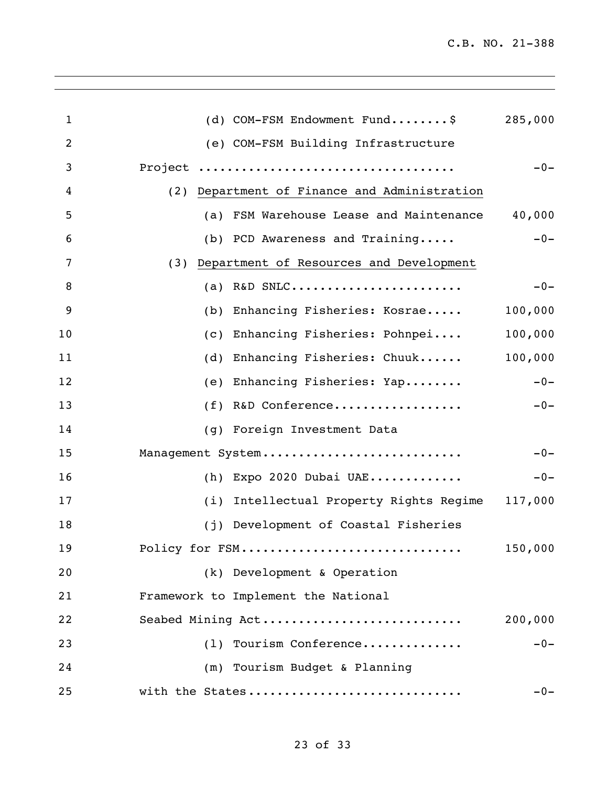| $\mathbf{1}$ | (d) COM-FSM Endowment Fund\$                    | 285,000 |
|--------------|-------------------------------------------------|---------|
| 2            | (e) COM-FSM Building Infrastructure             |         |
| 3            |                                                 | $-0-$   |
| 4            | Department of Finance and Administration<br>(2) |         |
| 5            | (a) FSM Warehouse Lease and Maintenance         | 40,000  |
| 6            | (b) PCD Awareness and Training                  | $-0-$   |
| 7            | Department of Resources and Development<br>(3)  |         |
| 8            | R&D SNLC<br>(a)                                 | $-0-$   |
| 9            | Enhancing Fisheries: Kosrae<br>(b)              | 100,000 |
| 10           | Enhancing Fisheries: Pohnpei<br>(C)             | 100,000 |
| 11           | Enhancing Fisheries: Chuuk<br>(d)               | 100,000 |
| 12           | Enhancing Fisheries: Yap<br>(e)                 | $-0-$   |
| 13           | R&D Conference<br>(f)                           | $-0-$   |
| 14           | (g) Foreign Investment Data                     |         |
| 15           | Management System                               | $-0-$   |
| 16           | (h) Expo 2020 Dubai UAE                         | $-0-$   |
| 17           | (i) Intellectual Property Rights Regime 117,000 |         |
| 18           | (j) Development of Coastal Fisheries            |         |
| 19           | Policy for FSM                                  | 150,000 |
| 20           | (k) Development & Operation                     |         |
| 21           | Framework to Implement the National             |         |
| 22           | Seabed Mining Act                               | 200,000 |
| 23           | Tourism Conference<br>(1)                       | $-0-$   |
| 24           | (m) Tourism Budget & Planning                   |         |
| 25           | with the States                                 | $-0-$   |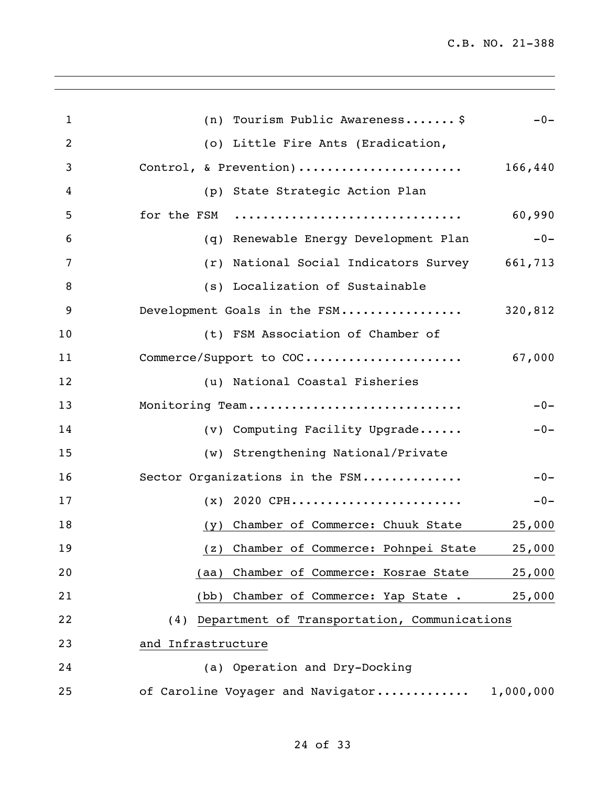| $\mathbf{1}$   | (n) Tourism Public Awareness \$                  | $-0-$   |
|----------------|--------------------------------------------------|---------|
| $\overline{2}$ | (o) Little Fire Ants (Eradication,               |         |
| 3              |                                                  |         |
| 4              | (p) State Strategic Action Plan                  |         |
| 5              | for the FSM                                      | 60,990  |
| 6              | (q) Renewable Energy Development Plan            | $-0-$   |
| 7              | National Social Indicators Survey 661,713<br>(r) |         |
| 8              | (s) Localization of Sustainable                  |         |
| 9              | Development Goals in the FSM                     | 320,812 |
| 10             | (t) FSM Association of Chamber of                |         |
| 11             | Commerce/Support to COC                          | 67,000  |
| 12             | (u) National Coastal Fisheries                   |         |
| 13             | Monitoring Team                                  | $-0-$   |
| 14             | (v) Computing Facility Upgrade                   | $-0-$   |
| 15             | (w) Strengthening National/Private               |         |
| 16             | Sector Organizations in the FSM                  | $-0-$   |
| 17             | $(x)$ 2020 CPH                                   | $-0-$   |
| 18             | (y) Chamber of Commerce: Chuuk State             | 25,000  |
| 19             | (z) Chamber of Commerce: Pohnpei State           | 25,000  |
| 20             | (aa) Chamber of Commerce: Kosrae State           | 25,000  |
| 21             | (bb) Chamber of Commerce: Yap State.             | 25,000  |
| 22             | (4) Department of Transportation, Communications |         |
| 23             | and Infrastructure                               |         |
| 24             | (a) Operation and Dry-Docking                    |         |
| 25             | of Caroline Voyager and Navigator 1,000,000      |         |
|                |                                                  |         |

,我们也不会有什么。""我们的人,我们也不会有什么?""我们的人,我们也不会有什么?""我们的人,我们也不会有什么?""我们的人,我们也不会有什么?""我们的人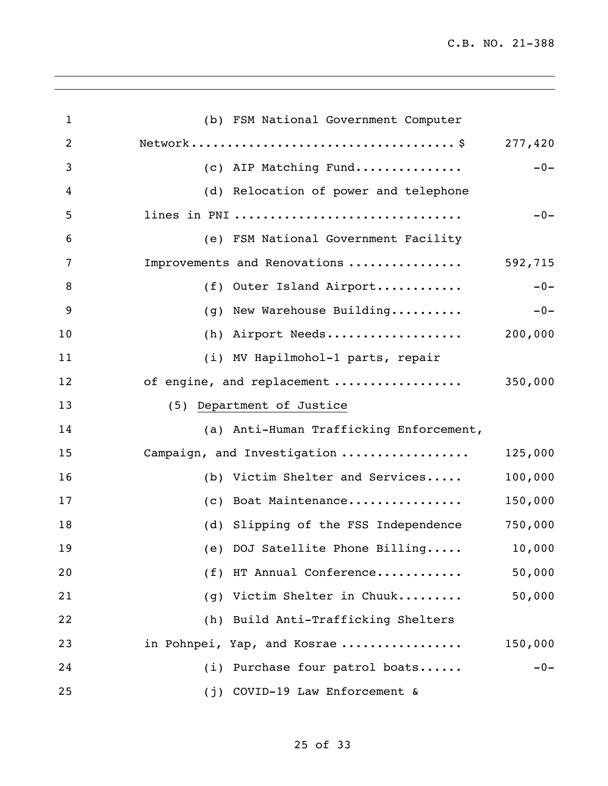C.B. NO. 21-388

| $\mathbf{1}$   | (b) FSM National Government Computer    |         |
|----------------|-----------------------------------------|---------|
| $\overline{2}$ |                                         |         |
| 3              | (c) AIP Matching Fund                   | $-0-$   |
| 4              | (d) Relocation of power and telephone   |         |
| 5              | lines in PNI                            | $-0-$   |
| 6              | (e) FSM National Government Facility    |         |
| 7              | Improvements and Renovations            | 592,715 |
| 8              | (f) Outer Island Airport                | $-0-$   |
| 9              | (g) New Warehouse Building              | $-0-$   |
| 10             | (h) Airport Needs 200,000               |         |
| 11             | (i) MV Hapilmohol-1 parts, repair       |         |
| 12             | of engine, and replacement  350,000     |         |
| 13             | (5) Department of Justice               |         |
| 14             | (a) Anti-Human Trafficking Enforcement, |         |
| 15             | Campaign, and Investigation             | 125,000 |
| 16             | (b) Victim Shelter and Services         | 100,000 |
| 17             | (c) Boat Maintenance                    | 150,000 |
| 18             | (d) Slipping of the FSS Independence    | 750,000 |
| 19             | (e) DOJ Satellite Phone Billing         | 10,000  |
| 20             | (f) HT Annual Conference                | 50,000  |
| 21             | (g) Victim Shelter in Chuuk             | 50,000  |
| 22             | (h) Build Anti-Trafficking Shelters     |         |
| 23             | in Pohnpei, Yap, and Kosrae             | 150,000 |
| 24             | (i) Purchase four patrol boats          | $-0-$   |
| 25             | (j) COVID-19 Law Enforcement &          |         |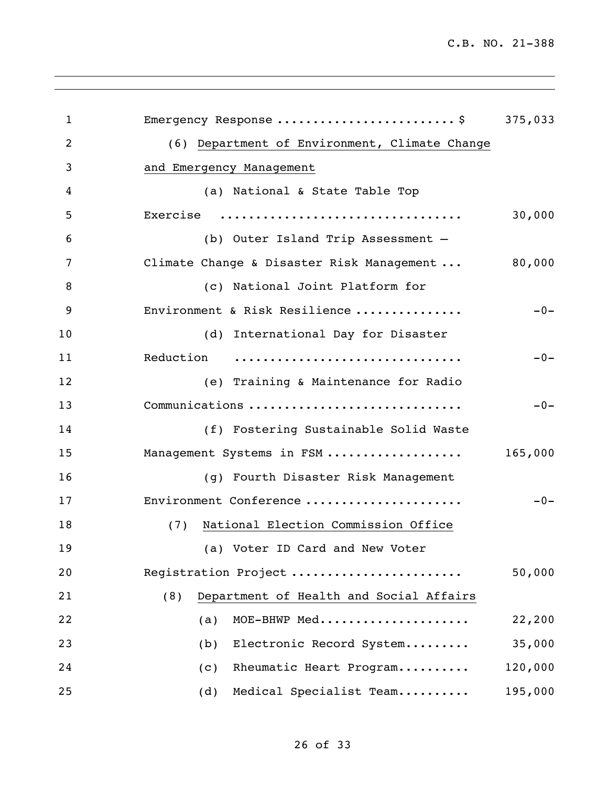| $\mathbf{1}$   | Emergency Response \$                          | 375,033 |
|----------------|------------------------------------------------|---------|
| $\overline{2}$ | (6) Department of Environment, Climate Change  |         |
| 3              | and Emergency Management                       |         |
| 4              | (a) National & State Table Top                 |         |
| 5              | Exercise                                       | 30,000  |
| 6              | (b) Outer Island Trip Assessment -             |         |
| 7              | Climate Change & Disaster Risk Management      | 80,000  |
| 8              | (c) National Joint Platform for                |         |
| 9              | Environment & Risk Resilience                  | $-0-$   |
| 10             | (d) International Day for Disaster             |         |
| 11             | Reduction                                      | $-0-$   |
| 12             | (e) Training & Maintenance for Radio           |         |
| 13             | Communications                                 | $-0-$   |
| 14             | (f) Fostering Sustainable Solid Waste          |         |
| 15             | Management Systems in FSM                      | 165,000 |
| 16             | (g) Fourth Disaster Risk Management            |         |
| 17             | Environment Conference                         | $-0-$   |
| 18             | National Election Commission Office<br>(7)     |         |
| 19             | (a) Voter ID Card and New Voter                |         |
| 20             | Registration Project                           | 50,000  |
| 21             | Department of Health and Social Affairs<br>(8) |         |
| 22             | MOE-BHWP Med<br>(a)                            | 22,200  |
| 23             | Electronic Record System<br>(b)                | 35,000  |
| 24             | Rheumatic Heart Program<br>(c)                 | 120,000 |
| 25             | Medical Specialist Team<br>(d)                 | 195,000 |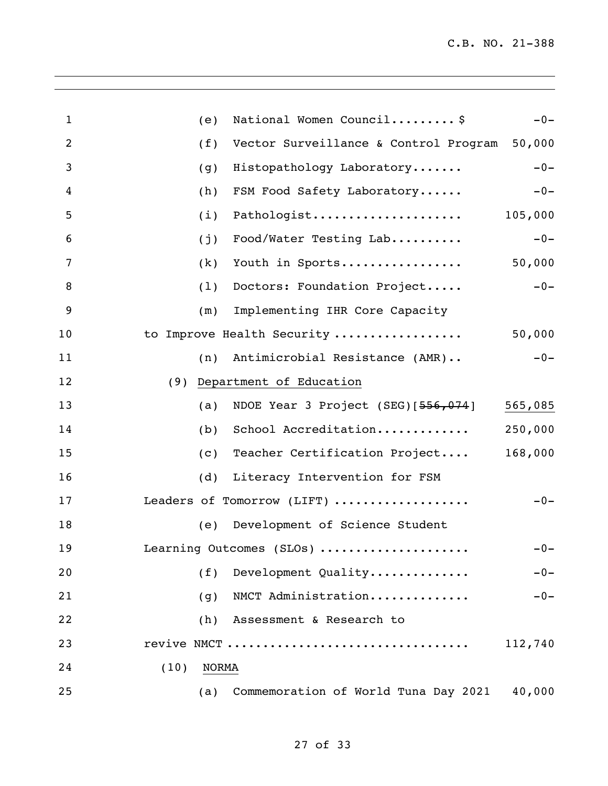| $\mathbf{1}$   | National Women Council\$<br>$-0-$<br>(e)               |
|----------------|--------------------------------------------------------|
| $\overline{2}$ | Vector Surveillance & Control Program<br>50,000<br>(f) |
| 3              | $-0-$<br>Histopathology Laboratory<br>(g)              |
| 4              | FSM Food Safety Laboratory<br>$-0-$<br>(h)             |
| 5              | Pathologist<br>(i)<br>105,000                          |
| 6              | Food/Water Testing Lab<br>$-0-$<br>(j)                 |
| 7              | 50,000<br>Youth in Sports<br>(k)                       |
| 8              | $-0-$<br>Doctors: Foundation Project<br>(1)            |
| 9              | Implementing IHR Core Capacity<br>(m)                  |
| 10             | to Improve Health Security<br>50,000                   |
| 11             | Antimicrobial Resistance (AMR)<br>$-0-$<br>(n)         |
| 12             | (9) Department of Education                            |
| 13             | NDOE Year 3 Project (SEG) [556,074]<br>565,085<br>(a)  |
| 14             | School Accreditation<br>250,000<br>(b)                 |
| 15             | Teacher Certification Project<br>168,000<br>(c)        |
| 16             | Literacy Intervention for FSM<br>(d)                   |
| 17             | Leaders of Tomorrow (LIFT)<br>$-0-$                    |
| 18             | (e) Development of Science Student                     |
| 19             | Learning Outcomes (SLOs)<br>$-0-$                      |
| 20             | Development Quality<br>(f)<br>$-0-$                    |
| 21             | NMCT Administration<br>$-0-$<br>(g)                    |
| 22             | Assessment & Research to<br>(h)                        |
| 23             | revive NMCT<br>112,740                                 |
| 24             | (10)<br><b>NORMA</b>                                   |
| 25             | Commemoration of World Tuna Day 2021<br>40,000<br>(a)  |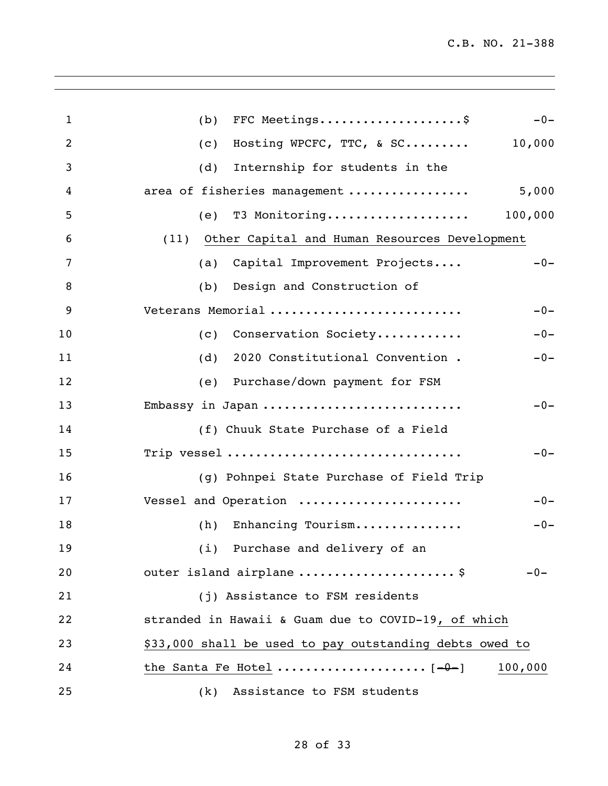| $\mathbf{1}$ | FFC Meetings\$<br>$-0-$<br>(b)                          |
|--------------|---------------------------------------------------------|
| 2            | 10,000<br>Hosting WPCFC, TTC, & SC<br>(c)               |
| 3            | Internship for students in the<br>(d)                   |
| 4            | area of fisheries management<br>5,000                   |
| 5            | T3 Monitoring<br>100,000<br>(e)                         |
| 6            | (11) Other Capital and Human Resources Development      |
| 7            | $-0-$<br>Capital Improvement Projects<br>(a)            |
| 8            | Design and Construction of<br>(b)                       |
| 9            | Veterans Memorial<br>$-0-$                              |
| 10           | $-0-$<br>Conservation Society<br>(c)                    |
| 11           | $-0-$<br>2020 Constitutional Convention.<br>(d)         |
| 12           | (e) Purchase/down payment for FSM                       |
| 13           | $-0-$<br>Embassy in Japan                               |
| 14           | (f) Chuuk State Purchase of a Field                     |
| 15           | Trip vessel<br>$-0-$                                    |
| 16           | (g) Pohnpei State Purchase of Field Trip                |
| 17           | Vessel and Operation<br>$-0-$                           |
| 18           | (h) Enhancing Tourism<br>$-0-$                          |
| 19           | (i) Purchase and delivery of an                         |
| 20           | outer island airplane \$<br>$-0-$                       |
| 21           | (j) Assistance to FSM residents                         |
| 22           | stranded in Hawaii & Guam due to COVID-19, of which     |
| 23           | \$33,000 shall be used to pay outstanding debts owed to |
| 24           | 100,000                                                 |
| 25           | Assistance to FSM students<br>(k)                       |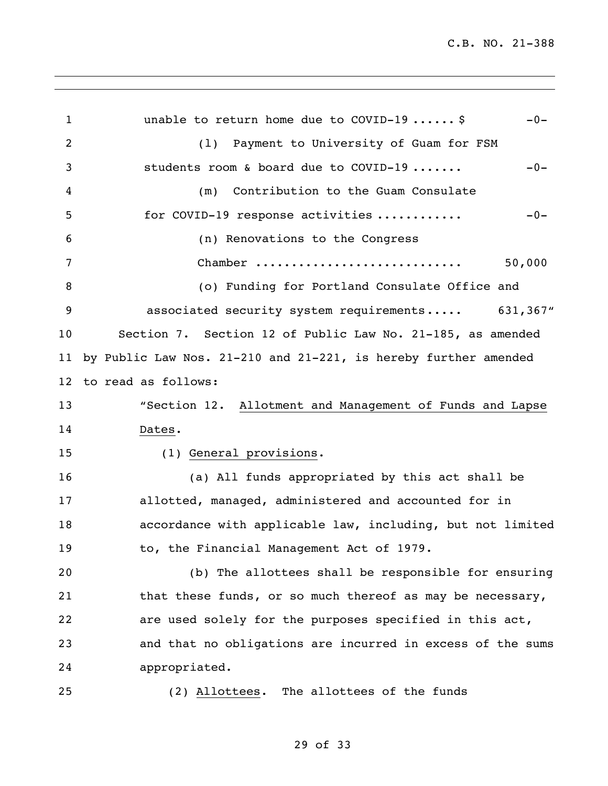1 unable to return home due to COVID-19 ...... \$ -0- (l) Payment to University of Guam for FSM 3 5tudents room & board due to COVID-19 ....... - 0- (m) Contribution to the Guam Consulate for COVID-19 response activities ............ -0- (n) Renovations to the Congress Chamber ............................. 50,000 (o) Funding for Portland Consulate Office and 9 associated security system requirements..... 631,367" Section 7. Section 12 of Public Law No. 21-185, as amended by Public Law Nos. 21-210 and 21-221, is hereby further amended to read as follows: "Section 12. Allotment and Management of Funds and Lapse Dates. (1) General provisions. (a) All funds appropriated by this act shall be allotted, managed, administered and accounted for in accordance with applicable law, including, but not limited to, the Financial Management Act of 1979. (b) The allottees shall be responsible for ensuring 21 that these funds, or so much thereof as may be necessary, are used solely for the purposes specified in this act, and that no obligations are incurred in excess of the sums appropriated. (2) Allottees. The allottees of the funds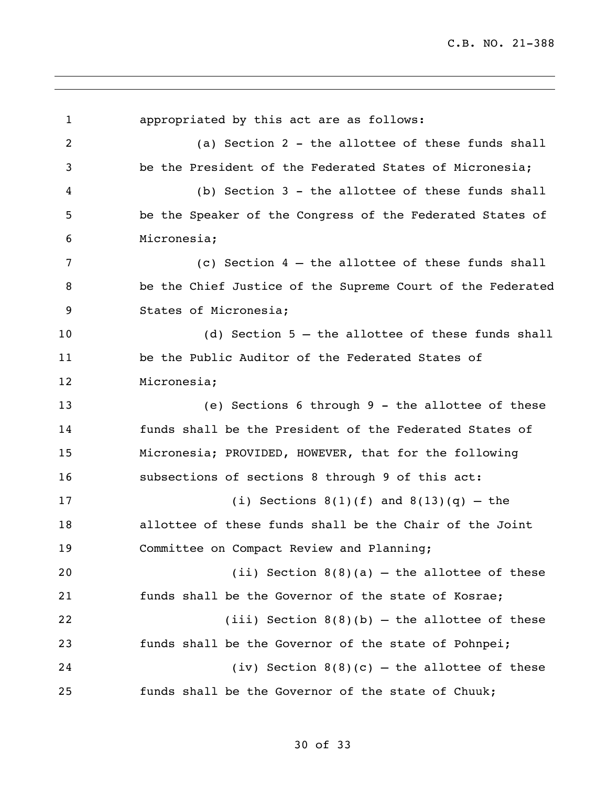```
1 appropriated by this act are as follows:
2 (a) Section 2 - the allottee of these funds shall 
3 be the President of the Federated States of Micronesia;
4 (b) Section 3 - the allottee of these funds shall 
5 be the Speaker of the Congress of the Federated States of 
6 Micronesia;
7 (c) Section 4 – the allottee of these funds shall 
8 be the Chief Justice of the Supreme Court of the Federated
9 States of Micronesia;
10 (d) Section 5 – the allottee of these funds shall 
11 be the Public Auditor of the Federated States of 
12 Micronesia;
13 (e) Sections 6 through 9 - the allottee of these 
14 funds shall be the President of the Federated States of 
15 Micronesia; PROVIDED, HOWEVER, that for the following 
16 subsections of sections 8 through 9 of this act:
17 (i) Sections 8(1)(f) and 8(13)(q) – the
18 allottee of these funds shall be the Chair of the Joint 
19 Committee on Compact Review and Planning;
20 (ii) Section 8(8)(a) – the allottee of these 
21 funds shall be the Governor of the state of Kosrae;
22 (iii) Section 8(8)(b) – the allottee of these 
23 funds shall be the Governor of the state of Pohnpei;
24 (iv) Section 8(8)(c) – the allottee of these
25 funds shall be the Governor of the state of Chuuk;
```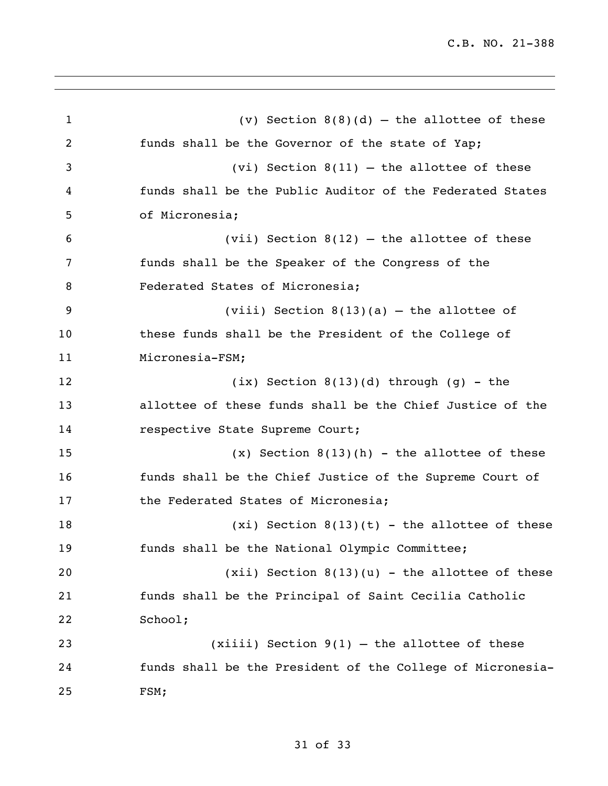(v) Section 8(8)(d) – the allottee of these funds shall be the Governor of the state of Yap; (vi) Section 8(11) – the allottee of these funds shall be the Public Auditor of the Federated States of Micronesia; (vii) Section 8(12) – the allottee of these funds shall be the Speaker of the Congress of the 8 Federated States of Micronesia; (viii) Section 8(13)(a) – the allottee of these funds shall be the President of the College of Micronesia-FSM; (ix) Section 8(13)(d) through (g) - the allottee of these funds shall be the Chief Justice of the respective State Supreme Court; (x) Section 8(13)(h) - the allottee of these funds shall be the Chief Justice of the Supreme Court of the Federated States of Micronesia; 18 (xi) Section 8(13)(t) - the allottee of these funds shall be the National Olympic Committee; (xii) Section 8(13)(u) - the allottee of these funds shall be the Principal of Saint Cecilia Catholic School; (xiiii) Section 9(1) – the allottee of these funds shall be the President of the College of Micronesia-FSM;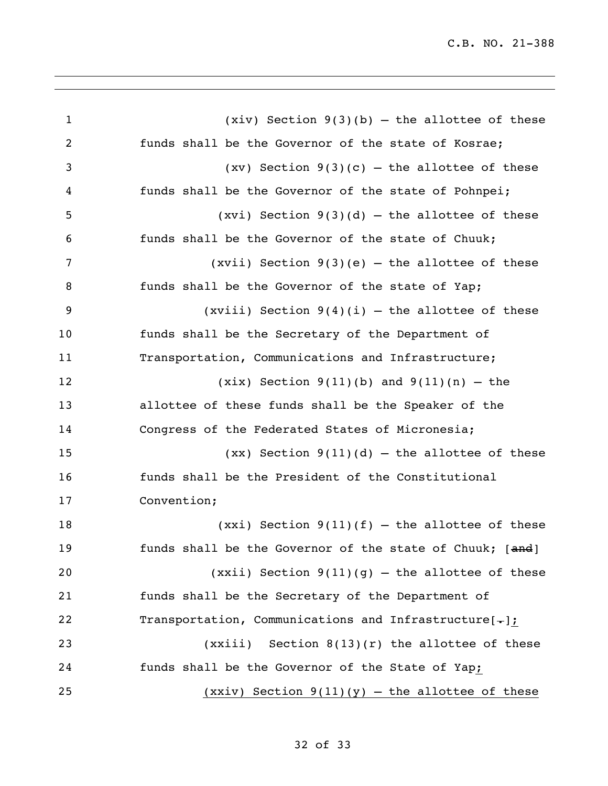| $\mathbf{1}$   | $(xiv)$ Section 9(3)(b) – the allottee of these           |
|----------------|-----------------------------------------------------------|
| $\overline{c}$ | funds shall be the Governor of the state of Kosrae;       |
| 3              | $(xv)$ Section 9(3)(c) – the allottee of these            |
| 4              | funds shall be the Governor of the state of Pohnpei;      |
| 5              | $(xvi)$ Section 9(3)(d) – the allottee of these           |
| 6              | funds shall be the Governor of the state of Chuuk;        |
| 7              | (xvii) Section $9(3)(e)$ – the allottee of these          |
| 8              | funds shall be the Governor of the state of Yap;          |
| 9              | (xviii) Section $9(4)(i)$ – the allottee of these         |
| 10             | funds shall be the Secretary of the Department of         |
| 11             | Transportation, Communications and Infrastructure;        |
| 12             | $(xix)$ Section 9(11)(b) and 9(11)(n) - the               |
| 13             | allottee of these funds shall be the Speaker of the       |
| 14             | Congress of the Federated States of Micronesia;           |
| 15             | $(xx)$ Section $9(11)(d)$ – the allottee of these         |
| 16             | funds shall be the President of the Constitutional        |
| 17             | Convention;                                               |
| 18             | $(xxi)$ Section $9(11)(f)$ – the allottee of these        |
| 19             | funds shall be the Governor of the state of Chuuk; [and]  |
| 20             | $(xxii)$ Section $9(11)(g)$ – the allottee of these       |
| 21             | funds shall be the Secretary of the Department of         |
| 22             | Transportation, Communications and Infrastructure $[-]$ ; |
| 23             | $(xxiii)$ Section $8(13)(r)$ the allottee of these        |
| 24             | funds shall be the Governor of the State of Yap;          |
| 25             | $(xxiv)$ Section $9(11)(y)$ – the allottee of these       |